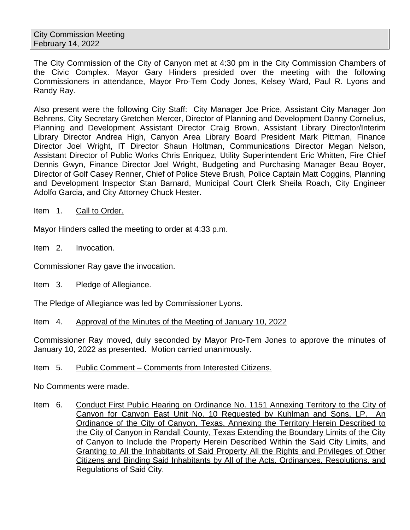The City Commission of the City of Canyon met at 4:30 pm in the City Commission Chambers of the Civic Complex. Mayor Gary Hinders presided over the meeting with the following Commissioners in attendance, Mayor Pro-Tem Cody Jones, Kelsey Ward, Paul R. Lyons and Randy Ray.

Also present were the following City Staff: City Manager Joe Price, Assistant City Manager Jon Behrens, City Secretary Gretchen Mercer, Director of Planning and Development Danny Cornelius, Planning and Development Assistant Director Craig Brown, Assistant Library Director/Interim Library Director Andrea High, Canyon Area Library Board President Mark Pittman, Finance Director Joel Wright, IT Director Shaun Holtman, Communications Director Megan Nelson, Assistant Director of Public Works Chris Enriquez, Utility Superintendent Eric Whitten, Fire Chief Dennis Gwyn, Finance Director Joel Wright, Budgeting and Purchasing Manager Beau Boyer, Director of Golf Casey Renner, Chief of Police Steve Brush, Police Captain Matt Coggins, Planning and Development Inspector Stan Barnard, Municipal Court Clerk Sheila Roach, City Engineer Adolfo Garcia, and City Attorney Chuck Hester.

Item 1. Call to Order.

Mayor Hinders called the meeting to order at 4:33 p.m.

Item 2. Invocation.

Commissioner Ray gave the invocation.

Item 3. Pledge of Allegiance.

The Pledge of Allegiance was led by Commissioner Lyons.

Item 4. Approval of the Minutes of the Meeting of January 10, 2022

Commissioner Ray moved, duly seconded by Mayor Pro-Tem Jones to approve the minutes of January 10, 2022 as presented. Motion carried unanimously.

## Item 5. Public Comment – Comments from Interested Citizens.

No Comments were made.

Item 6. Conduct First Public Hearing on Ordinance No. 1151 Annexing Territory to the City of Canyon for Canyon East Unit No. 10 Requested by Kuhlman and Sons, LP. An Ordinance of the City of Canyon, Texas, Annexing the Territory Herein Described to the City of Canyon in Randall County, Texas Extending the Boundary Limits of the City of Canyon to Include the Property Herein Described Within the Said City Limits, and Granting to All the Inhabitants of Said Property All the Rights and Privileges of Other Citizens and Binding Said Inhabitants by All of the Acts, Ordinances, Resolutions, and Regulations of Said City.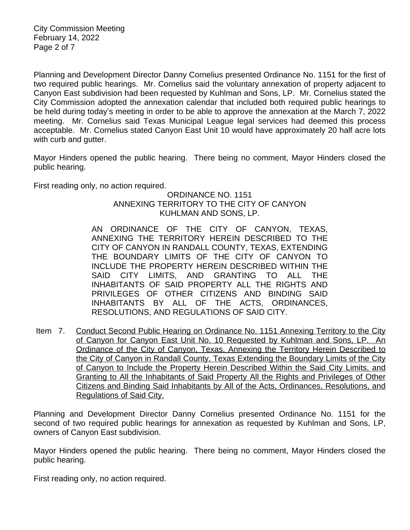City Commission Meeting February 14, 2022 Page 2 of 7

Planning and Development Director Danny Cornelius presented Ordinance No. 1151 for the first of two required public hearings. Mr. Cornelius said the voluntary annexation of property adjacent to Canyon East subdivision had been requested by Kuhlman and Sons, LP. Mr. Cornelius stated the City Commission adopted the annexation calendar that included both required public hearings to be held during today's meeting in order to be able to approve the annexation at the March 7, 2022 meeting. Mr. Cornelius said Texas Municipal League legal services had deemed this process acceptable. Mr. Cornelius stated Canyon East Unit 10 would have approximately 20 half acre lots with curb and gutter.

Mayor Hinders opened the public hearing. There being no comment, Mayor Hinders closed the public hearing.

First reading only, no action required.

## ORDINANCE NO. 1151 ANNEXING TERRITORY TO THE CITY OF CANYON KUHLMAN AND SONS, LP.

AN ORDINANCE OF THE CITY OF CANYON, TEXAS, ANNEXING THE TERRITORY HEREIN DESCRIBED TO THE CITY OF CANYON IN RANDALL COUNTY, TEXAS, EXTENDING THE BOUNDARY LIMITS OF THE CITY OF CANYON TO INCLUDE THE PROPERTY HEREIN DESCRIBED WITHIN THE SAID CITY LIMITS, AND GRANTING TO ALL THE INHABITANTS OF SAID PROPERTY ALL THE RIGHTS AND PRIVILEGES OF OTHER CITIZENS AND BINDING SAID INHABITANTS BY ALL OF THE ACTS, ORDINANCES, RESOLUTIONS, AND REGULATIONS OF SAID CITY.

Item 7. Conduct Second Public Hearing on Ordinance No. 1151 Annexing Territory to the City of Canyon for Canyon East Unit No. 10 Requested by Kuhlman and Sons, LP. An Ordinance of the City of Canyon, Texas, Annexing the Territory Herein Described to the City of Canyon in Randall County, Texas Extending the Boundary Limits of the City of Canyon to Include the Property Herein Described Within the Said City Limits, and Granting to All the Inhabitants of Said Property All the Rights and Privileges of Other Citizens and Binding Said Inhabitants by All of the Acts, Ordinances, Resolutions, and Regulations of Said City.

Planning and Development Director Danny Cornelius presented Ordinance No. 1151 for the second of two required public hearings for annexation as requested by Kuhlman and Sons, LP, owners of Canyon East subdivision.

Mayor Hinders opened the public hearing. There being no comment, Mayor Hinders closed the public hearing.

First reading only, no action required.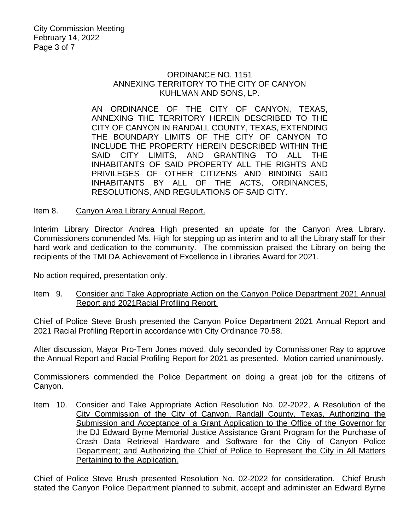## ORDINANCE NO. 1151 ANNEXING TERRITORY TO THE CITY OF CANYON KUHLMAN AND SONS, LP.

AN ORDINANCE OF THE CITY OF CANYON, TEXAS, ANNEXING THE TERRITORY HEREIN DESCRIBED TO THE CITY OF CANYON IN RANDALL COUNTY, TEXAS, EXTENDING THE BOUNDARY LIMITS OF THE CITY OF CANYON TO INCLUDE THE PROPERTY HEREIN DESCRIBED WITHIN THE SAID CITY LIMITS, AND GRANTING TO ALL THE INHABITANTS OF SAID PROPERTY ALL THE RIGHTS AND PRIVILEGES OF OTHER CITIZENS AND BINDING SAID INHABITANTS BY ALL OF THE ACTS, ORDINANCES, RESOLUTIONS, AND REGULATIONS OF SAID CITY.

Item 8. Canyon Area Library Annual Report.

Interim Library Director Andrea High presented an update for the Canyon Area Library. Commissioners commended Ms. High for stepping up as interim and to all the Library staff for their hard work and dedication to the community. The commission praised the Library on being the recipients of the TMLDA Achievement of Excellence in Libraries Award for 2021.

No action required, presentation only.

Item 9. Consider and Take Appropriate Action on the Canyon Police Department 2021 Annual Report and 2021Racial Profiling Report.

Chief of Police Steve Brush presented the Canyon Police Department 2021 Annual Report and 2021 Racial Profiling Report in accordance with City Ordinance 70.58.

After discussion, Mayor Pro-Tem Jones moved, duly seconded by Commissioner Ray to approve the Annual Report and Racial Profiling Report for 2021 as presented. Motion carried unanimously.

Commissioners commended the Police Department on doing a great job for the citizens of Canyon.

Item 10. Consider and Take Appropriate Action Resolution No. 02-2022, A Resolution of the City Commission of the City of Canyon, Randall County, Texas, Authorizing the Submission and Acceptance of a Grant Application to the Office of the Governor for the DJ Edward Byrne Memorial Justice Assistance Grant Program for the Purchase of Crash Data Retrieval Hardware and Software for the City of Canyon Police Department; and Authorizing the Chief of Police to Represent the City in All Matters Pertaining to the Application.

Chief of Police Steve Brush presented Resolution No. 02-2022 for consideration. Chief Brush stated the Canyon Police Department planned to submit, accept and administer an Edward Byrne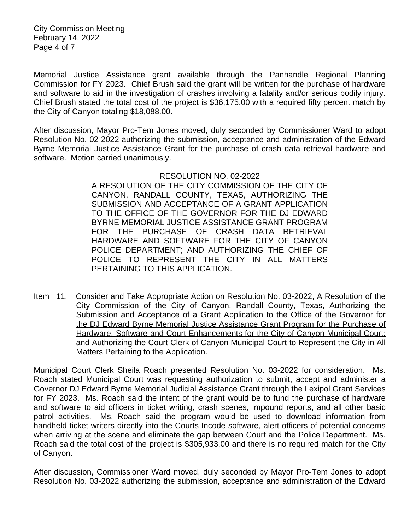City Commission Meeting February 14, 2022 Page 4 of 7

Memorial Justice Assistance grant available through the Panhandle Regional Planning Commission for FY 2023. Chief Brush said the grant will be written for the purchase of hardware and software to aid in the investigation of crashes involving a fatality and/or serious bodily injury. Chief Brush stated the total cost of the project is \$36,175.00 with a required fifty percent match by the City of Canyon totaling \$18,088.00.

After discussion, Mayor Pro-Tem Jones moved, duly seconded by Commissioner Ward to adopt Resolution No. 02-2022 authorizing the submission, acceptance and administration of the Edward Byrne Memorial Justice Assistance Grant for the purchase of crash data retrieval hardware and software. Motion carried unanimously.

#### RESOLUTION NO. 02-2022

A RESOLUTION OF THE CITY COMMISSION OF THE CITY OF CANYON, RANDALL COUNTY, TEXAS, AUTHORIZING THE SUBMISSION AND ACCEPTANCE OF A GRANT APPLICATION TO THE OFFICE OF THE GOVERNOR FOR THE DJ EDWARD BYRNE MEMORIAL JUSTICE ASSISTANCE GRANT PROGRAM FOR THE PURCHASE OF CRASH DATA RETRIEVAL HARDWARE AND SOFTWARE FOR THE CITY OF CANYON POLICE DEPARTMENT; AND AUTHORIZING THE CHIEF OF POLICE TO REPRESENT THE CITY IN ALL MATTERS PERTAINING TO THIS APPLICATION.

Item 11. Consider and Take Appropriate Action on Resolution No. 03-2022, A Resolution of the City Commission of the City of Canyon, Randall County, Texas, Authorizing the Submission and Acceptance of a Grant Application to the Office of the Governor for the DJ Edward Byrne Memorial Justice Assistance Grant Program for the Purchase of Hardware, Software and Court Enhancements for the City of Canyon Municipal Court; and Authorizing the Court Clerk of Canyon Municipal Court to Represent the City in All Matters Pertaining to the Application.

Municipal Court Clerk Sheila Roach presented Resolution No. 03-2022 for consideration. Ms. Roach stated Municipal Court was requesting authorization to submit, accept and administer a Governor DJ Edward Byrne Memorial Judicial Assistance Grant through the Lexipol Grant Services for FY 2023. Ms. Roach said the intent of the grant would be to fund the purchase of hardware and software to aid officers in ticket writing, crash scenes, impound reports, and all other basic patrol activities. Ms. Roach said the program would be used to download information from handheld ticket writers directly into the Courts Incode software, alert officers of potential concerns when arriving at the scene and eliminate the gap between Court and the Police Department. Ms. Roach said the total cost of the project is \$305,933.00 and there is no required match for the City of Canyon.

After discussion, Commissioner Ward moved, duly seconded by Mayor Pro-Tem Jones to adopt Resolution No. 03-2022 authorizing the submission, acceptance and administration of the Edward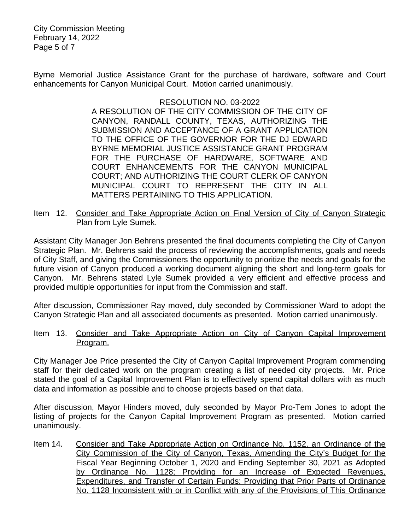City Commission Meeting February 14, 2022 Page 5 of 7

Byrne Memorial Justice Assistance Grant for the purchase of hardware, software and Court enhancements for Canyon Municipal Court. Motion carried unanimously.

## RESOLUTION NO. 03-2022

A RESOLUTION OF THE CITY COMMISSION OF THE CITY OF CANYON, RANDALL COUNTY, TEXAS, AUTHORIZING THE SUBMISSION AND ACCEPTANCE OF A GRANT APPLICATION TO THE OFFICE OF THE GOVERNOR FOR THE DJ EDWARD BYRNE MEMORIAL JUSTICE ASSISTANCE GRANT PROGRAM FOR THE PURCHASE OF HARDWARE, SOFTWARE AND COURT ENHANCEMENTS FOR THE CANYON MUNICIPAL COURT; AND AUTHORIZING THE COURT CLERK OF CANYON MUNICIPAL COURT TO REPRESENT THE CITY IN ALL MATTERS PERTAINING TO THIS APPLICATION.

Item 12. Consider and Take Appropriate Action on Final Version of City of Canyon Strategic Plan from Lyle Sumek.

Assistant City Manager Jon Behrens presented the final documents completing the City of Canyon Strategic Plan. Mr. Behrens said the process of reviewing the accomplishments, goals and needs of City Staff, and giving the Commissioners the opportunity to prioritize the needs and goals for the future vision of Canyon produced a working document aligning the short and long-term goals for Canyon. Mr. Behrens stated Lyle Sumek provided a very efficient and effective process and provided multiple opportunities for input from the Commission and staff.

After discussion, Commissioner Ray moved, duly seconded by Commissioner Ward to adopt the Canyon Strategic Plan and all associated documents as presented. Motion carried unanimously.

## Item 13. Consider and Take Appropriate Action on City of Canyon Capital Improvement Program.

City Manager Joe Price presented the City of Canyon Capital Improvement Program commending staff for their dedicated work on the program creating a list of needed city projects. Mr. Price stated the goal of a Capital Improvement Plan is to effectively spend capital dollars with as much data and information as possible and to choose projects based on that data.

After discussion, Mayor Hinders moved, duly seconded by Mayor Pro-Tem Jones to adopt the listing of projects for the Canyon Capital Improvement Program as presented. Motion carried unanimously.

Item 14. Consider and Take Appropriate Action on Ordinance No. 1152, an Ordinance of the City Commission of the City of Canyon, Texas, Amending the City's Budget for the Fiscal Year Beginning October 1, 2020 and Ending September 30, 2021 as Adopted by Ordinance No. 1128; Providing for an Increase of Expected Revenues, Expenditures, and Transfer of Certain Funds; Providing that Prior Parts of Ordinance No. 1128 Inconsistent with or in Conflict with any of the Provisions of This Ordinance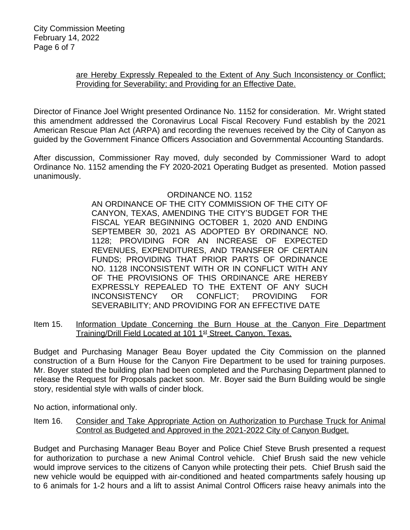# are Hereby Expressly Repealed to the Extent of Any Such Inconsistency or Conflict; Providing for Severability; and Providing for an Effective Date.

Director of Finance Joel Wright presented Ordinance No. 1152 for consideration. Mr. Wright stated this amendment addressed the Coronavirus Local Fiscal Recovery Fund establish by the 2021 American Rescue Plan Act (ARPA) and recording the revenues received by the City of Canyon as guided by the Government Finance Officers Association and Governmental Accounting Standards.

After discussion, Commissioner Ray moved, duly seconded by Commissioner Ward to adopt Ordinance No. 1152 amending the FY 2020-2021 Operating Budget as presented. Motion passed unanimously.

# ORDINANCE NO. 1152

AN ORDINANCE OF THE CITY COMMISSION OF THE CITY OF CANYON, TEXAS, AMENDING THE CITY'S BUDGET FOR THE FISCAL YEAR BEGINNING OCTOBER 1, 2020 AND ENDING SEPTEMBER 30, 2021 AS ADOPTED BY ORDINANCE NO. 1128; PROVIDING FOR AN INCREASE OF EXPECTED REVENUES, EXPENDITURES, AND TRANSFER OF CERTAIN FUNDS; PROVIDING THAT PRIOR PARTS OF ORDINANCE NO. 1128 INCONSISTENT WITH OR IN CONFLICT WITH ANY OF THE PROVISIONS OF THIS ORDINANCE ARE HEREBY EXPRESSLY REPEALED TO THE EXTENT OF ANY SUCH INCONSISTENCY OR CONFLICT; PROVIDING FOR SEVERABILITY; AND PROVIDING FOR AN EFFECTIVE DATE

Item 15. Information Update Concerning the Burn House at the Canyon Fire Department Training/Drill Field Located at 101 1<sup>st</sup> Street, Canyon, Texas.

Budget and Purchasing Manager Beau Boyer updated the City Commission on the planned construction of a Burn House for the Canyon Fire Department to be used for training purposes. Mr. Boyer stated the building plan had been completed and the Purchasing Department planned to release the Request for Proposals packet soon. Mr. Boyer said the Burn Building would be single story, residential style with walls of cinder block.

No action, informational only.

Item 16. Consider and Take Appropriate Action on Authorization to Purchase Truck for Animal Control as Budgeted and Approved in the 2021-2022 City of Canyon Budget.

Budget and Purchasing Manager Beau Boyer and Police Chief Steve Brush presented a request for authorization to purchase a new Animal Control vehicle. Chief Brush said the new vehicle would improve services to the citizens of Canyon while protecting their pets. Chief Brush said the new vehicle would be equipped with air-conditioned and heated compartments safely housing up to 6 animals for 1-2 hours and a lift to assist Animal Control Officers raise heavy animals into the